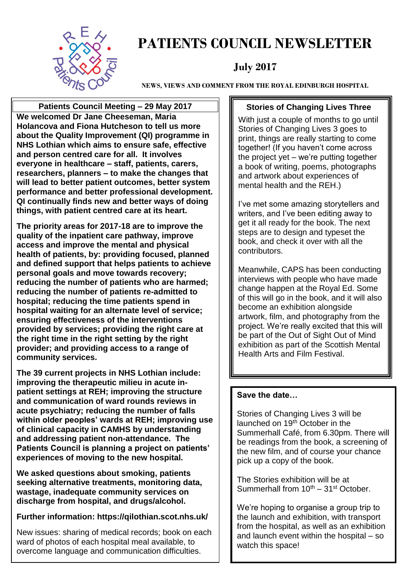

# **PATIENTS COUNCIL NEWSLETTER**

# **July 2017**

**NEWS, VIEWS AND COMMENT FROM THE ROYAL EDINBURGH HOSPITAL**

**Patients Council Meeting – 29 May 2017 We welcomed Dr Jane Cheeseman, Maria Holancova and Fiona Hutcheson to tell us more about the Quality Improvement (QI) programme in NHS Lothian which aims to ensure safe, effective and person centred care for all. It involves everyone in healthcare – staff, patients, carers, researchers, planners – to make the changes that will lead to better patient outcomes, better system performance and better professional development. QI continually finds new and better ways of doing things, with patient centred care at its heart.**

**The priority areas for 2017-18 are to improve the quality of the inpatient care pathway, improve access and improve the mental and physical health of patients, by: providing focused, planned and defined support that helps patients to achieve personal goals and move towards recovery; reducing the number of patients who are harmed; reducing the number of patients re-admitted to hospital; reducing the time patients spend in hospital waiting for an alternate level of service; ensuring effectiveness of the interventions provided by services; providing the right care at the right time in the right setting by the right provider; and providing access to a range of community services.**

**The 39 current projects in NHS Lothian include: improving the therapeutic milieu in acute inpatient settings at REH; improving the structure and communication of ward rounds reviews in acute psychiatry; reducing the number of falls within older peoples' wards at REH; improving use of clinical capacity in CAMHS by understanding and addressing patient non-attendance. The Patients Council is planning a project on patients' experiences of moving to the new hospital.**

**We asked questions about smoking, patients seeking alternative treatments, monitoring data, wastage, inadequate community services on discharge from hospital, and drugs/alcohol.**

#### **Further information: https://qilothian.scot.nhs.uk/**

New issues: sharing of medical records; book on each ward of photos of each hospital meal available, to overcome language and communication difficulties.

#### **Stories of Changing Lives Three**

With just a couple of months to go until Stories of Changing Lives 3 goes to print, things are really starting to come together! (If you haven't come across the project yet – we're putting together a book of writing, poems, photographs and artwork about experiences of mental health and the REH.)

I've met some amazing storytellers and writers, and I've been editing away to get it all ready for the book. The next steps are to design and typeset the book, and check it over with all the contributors.

Meanwhile, CAPS has been conducting interviews with people who have made change happen at the Royal Ed. Some of this will go in the book, and it will also become an exhibition alongside artwork, film, and photography from the project. We're really excited that this will be part of the Out of Sight Out of Mind exhibition as part of the Scottish Mental Health Arts and Film Festival.

#### **Save the date…**

Stories of Changing Lives 3 will be launched on 19<sup>th</sup> October in the Summerhall Café, from 6.30pm. There will be readings from the book, a screening of the new film, and of course your chance pick up a copy of the book.

The Stories exhibition will be at Summerhall from  $10^{th} - 31^{st}$  October.

We're hoping to organise a group trip to the launch and exhibition, with transport from the hospital, as well as an exhibition and launch event within the hospital – so watch this space!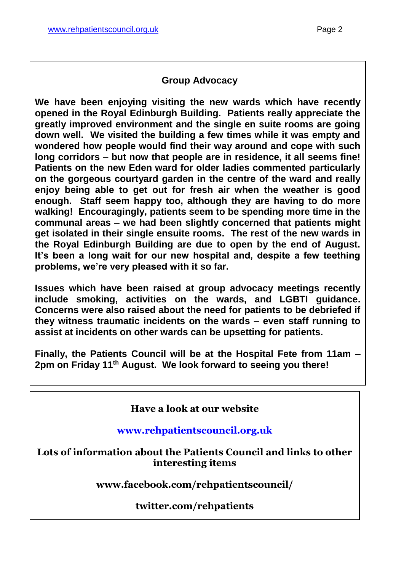#### **Group Advocacy**

**We have been enjoying visiting the new wards which have recently opened in the Royal Edinburgh Building. Patients really appreciate the greatly improved environment and the single en suite rooms are going down well. We visited the building a few times while it was empty and wondered how people would find their way around and cope with such long corridors – but now that people are in residence, it all seems fine! Patients on the new Eden ward for older ladies commented particularly on the gorgeous courtyard garden in the centre of the ward and really enjoy being able to get out for fresh air when the weather is good enough. Staff seem happy too, although they are having to do more walking! Encouragingly, patients seem to be spending more time in the communal areas – we had been slightly concerned that patients might get isolated in their single ensuite rooms. The rest of the new wards in the Royal Edinburgh Building are due to open by the end of August. It's been a long wait for our new hospital and, despite a few teething problems, we're very pleased with it so far.**

**Issues which have been raised at group advocacy meetings recently include smoking, activities on the wards, and LGBTI guidance. Concerns were also raised about the need for patients to be debriefed if they witness traumatic incidents on the wards – even staff running to assist at incidents on other wards can be upsetting for patients.**

**Finally, the Patients Council will be at the Hospital Fete from 11am – 2pm on Friday 11th August. We look forward to seeing you there!**

#### **Have a look at our website**

**[www.rehpatientscouncil.org.uk](http://www.rehpatientscouncil.org.uk/)**

**Lots of information about the Patients Council and links to other interesting items**

**www.facebook.com/rehpatientscouncil/**

**twitter.com/rehpatients**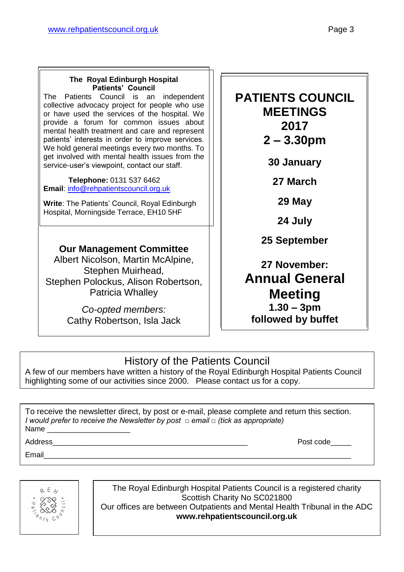#### **The Royal Edinburgh Hospital Patients' Council**

The Patients Council is an independent collective advocacy project for people who use or have used the services of the hospital. We provide a forum for common issues about mental health treatment and care and represent patients' interests in order to improve services. We hold general meetings every two months. To get involved with mental health issues from the service-user's viewpoint, contact our staff.

 **Telephone:** 0131 537 6462 **Email**: [info@rehpatientscouncil.org.uk](mailto:info@rehpatientscouncil.org.uk)

**Write**: The Patients' Council, Royal Edinburgh Hospital, Morningside Terrace, EH10 5HF

### **Our Management Committee**

Albert Nicolson, Martin McAlpine, Stephen Muirhead, Stephen Polockus, Alison Robertson, Patricia Whalley

> *Co-opted members:* Cathy Robertson, Isla Jack

# **PATIENTS COUNCIL MEETINGS 2017 2 – 3.30pm**

**30 January**

**27 March**

**29 May**

**24 July**

**25 September**

# **27 November: Annual General Meeting 1.30 – 3pm followed by buffet**

# History of the Patients Council

A few of our members have written a history of the Royal Edinburgh Hospital Patients Council highlighting some of our activities since 2000. Please contact us for a copy.

To receive the newsletter direct, by post or e-mail, please complete and return this section. *I would prefer to receive the Newsletter by post □ email □ (tick as appropriate)* Name

Email\_\_\_\_\_\_\_\_\_\_\_\_\_\_\_\_\_\_\_\_\_\_\_\_\_\_\_\_\_\_\_\_\_\_\_\_\_\_\_\_\_\_\_\_\_\_\_\_\_\_\_\_\_\_\_\_\_\_\_\_\_\_\_\_\_\_\_\_\_\_\_\_\_\_

Address **Address Post code** 



The Royal Edinburgh Hospital Patients Council is a registered charity Scottish Charity No SC021800 Our offices are between Outpatients and Mental Health Tribunal in the ADC **www.rehpatientscouncil.org.uk**